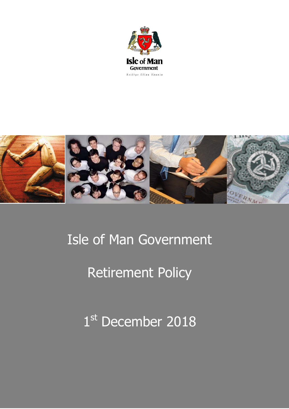



# Isle of Man Government

# Retirement Policy

1st December 2018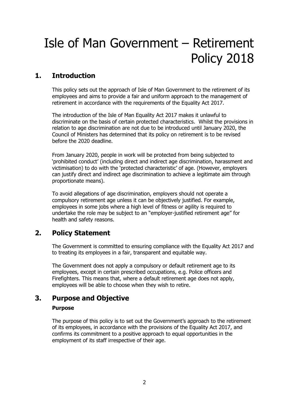# Isle of Man Government – Retirement Policy 2018

# **1. Introduction**

This policy sets out the approach of Isle of Man Government to the retirement of its employees and aims to provide a fair and uniform approach to the management of retirement in accordance with the requirements of the Equality Act 2017.

The introduction of the Isle of Man Equality Act 2017 makes it unlawful to discriminate on the basis of certain protected characteristics. Whilst the provisions in relation to age discrimination are not due to be introduced until January 2020, the Council of Ministers has determined that its policy on retirement is to be revised before the 2020 deadline.

From January 2020, people in work will be protected from being subjected to 'prohibited conduct' (including direct and indirect age discrimination, harassment and victimisation) to do with the 'protected characteristic' of age. (However, employers can justify direct and indirect age discrimination to achieve a legitimate aim through proportionate means).

To avoid allegations of age discrimination, employers should not operate a compulsory retirement age unless it can be objectively justified. For example, employees in some jobs where a high level of fitness or agility is required to undertake the role may be subject to an "employer-justified retirement age" for health and safety reasons.

# **2. Policy Statement**

The Government is committed to ensuring compliance with the Equality Act 2017 and to treating its employees in a fair, transparent and equitable way.

The Government does not apply a compulsory or default retirement age to its employees, except in certain prescribed occupations, e.g. Police officers and Firefighters. This means that, where a default retirement age does not apply, employees will be able to choose when they wish to retire.

## **3. Purpose and Objective**

### **Purpose**

The purpose of this policy is to set out the Government's approach to the retirement of its employees, in accordance with the provisions of the Equality Act 2017, and confirms its commitment to a positive approach to equal opportunities in the employment of its staff irrespective of their age.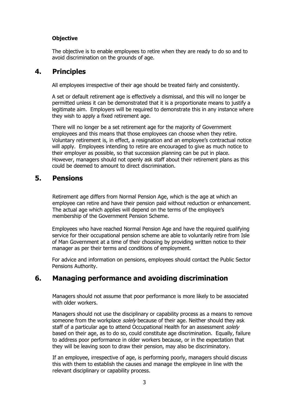### **Objective**

The objective is to enable employees to retire when they are ready to do so and to avoid discrimination on the grounds of age.

## **4. Principles**

All employees irrespective of their age should be treated fairly and consistently.

A set or default retirement age is effectively a dismissal, and this will no longer be permitted unless it can be demonstrated that it is a proportionate means to justify a legitimate aim. Employers will be required to demonstrate this in any instance where they wish to apply a fixed retirement age.

There will no longer be a set retirement age for the majority of Government employees and this means that those employees can choose when they retire. Voluntary retirement is, in effect, a resignation and an employee's contractual notice will apply. Employees intending to retire are encouraged to give as much notice to their employer as possible, so that succession planning can be put in place. However, managers should not openly ask staff about their retirement plans as this could be deemed to amount to direct discrimination.

### **5. Pensions**

Retirement age differs from Normal Pension Age, which is the age at which an employee can retire and have their pension paid without reduction or enhancement. The actual age which applies will depend on the terms of the employee's membership of the Government Pension Scheme.

Employees who have reached Normal Pension Age and have the required qualifying service for their occupational pension scheme are able to voluntarily retire from Isle of Man Government at a time of their choosing by providing written notice to their manager as per their terms and conditions of employment.

For advice and information on pensions, employees should contact the Public Sector Pensions Authority.

# **6. Managing performance and avoiding discrimination**

Managers should not assume that poor performance is more likely to be associated with older workers.

Managers should not use the disciplinary or capability process as a means to remove someone from the workplace *solely* because of their age. Neither should they ask staff of a particular age to attend Occupational Health for an assessment solely based on their age, as to do so, could constitute age discrimination. Equally, failure to address poor performance in older workers because, or in the expectation that they will be leaving soon to draw their pension, may also be discriminatory.

If an employee, irrespective of age, is performing poorly, managers should discuss this with them to establish the causes and manage the employee in line with the relevant disciplinary or capability process.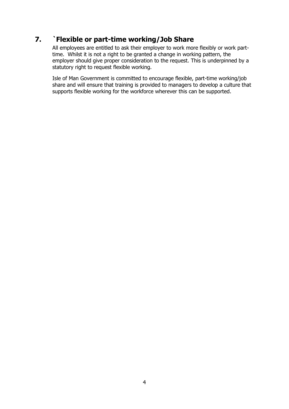# **7. `Flexible or part-time working/Job Share**

All employees are entitled to ask their employer to work more flexibly or work parttime. Whilst it is not a right to be granted a change in working pattern, the employer should give proper consideration to the request. This is underpinned by a statutory right to request flexible working.

Isle of Man Government is committed to encourage flexible, part-time working/job share and will ensure that training is provided to managers to develop a culture that supports flexible working for the workforce wherever this can be supported.